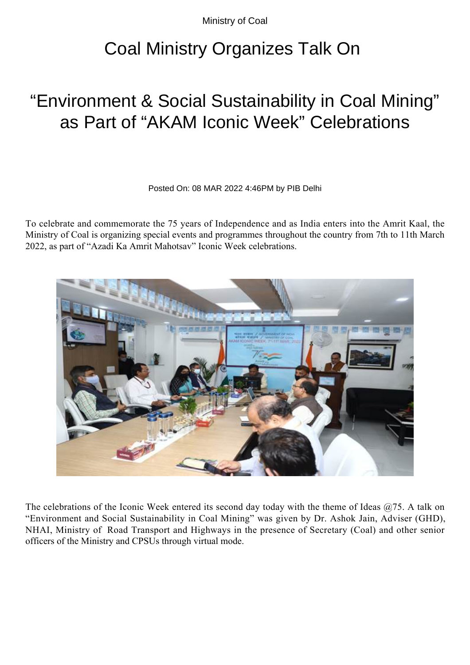Ministry of Coal

## Coal Ministry Organizes Talk On

## "Environment & Social Sustainability in Coal Mining" as Part of "AKAM Iconic Week" Celebrations

Posted On: 08 MAR 2022 4:46PM by PIB Delhi

To celebrate and commemorate the 75 years of Independence and as India enters into the Amrit Kaal, the Ministry of Coal is organizing special events and programmes throughout the country from 7th to 11th March 2022, as part of "Azadi Ka Amrit Mahotsav" Iconic Week celebrations.



The celebrations of the Iconic Week entered its second day today with the theme of Ideas  $(2, 75)$ . A talk on "Environment and Social Sustainability in Coal Mining" was given by Dr. Ashok Jain, Adviser (GHD), NHAI, Ministry of Road Transport and Highways in the presence of Secretary (Coal) and other senior officers of the Ministry and CPSUs through virtual mode.